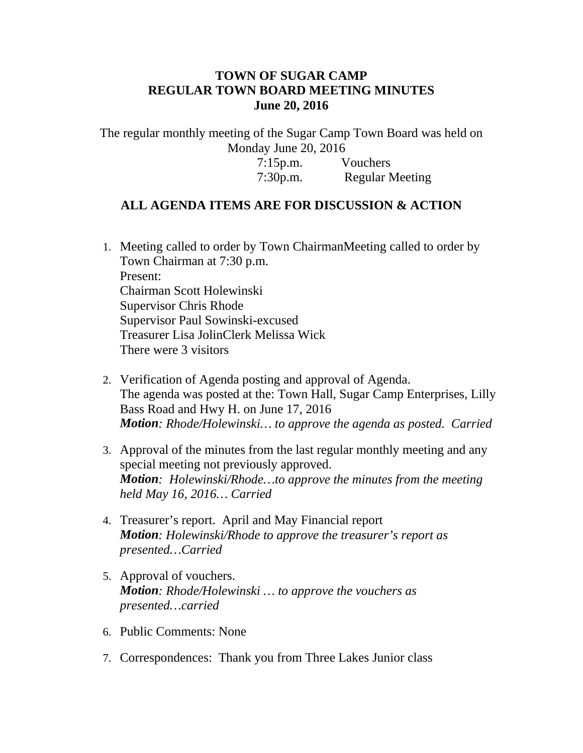## **TOWN OF SUGAR CAMP REGULAR TOWN BOARD MEETING MINUTES June 20, 2016**

The regular monthly meeting of the Sugar Camp Town Board was held on Monday June 20, 2016

> 7:15p.m. Vouchers 7:30p.m. Regular Meeting

## **ALL AGENDA ITEMS ARE FOR DISCUSSION & ACTION**

- 1. Meeting called to order by Town ChairmanMeeting called to order by Town Chairman at 7:30 p.m. Present: Chairman Scott Holewinski Supervisor Chris Rhode Supervisor Paul Sowinski-excused Treasurer Lisa JolinClerk Melissa Wick There were 3 visitors
- 2. Verification of Agenda posting and approval of Agenda. The agenda was posted at the: Town Hall, Sugar Camp Enterprises, Lilly Bass Road and Hwy H. on June 17, 2016 *Motion: Rhode/Holewinski… to approve the agenda as posted. Carried*
- 3. Approval of the minutes from the last regular monthly meeting and any special meeting not previously approved. *Motion: Holewinski/Rhode…to approve the minutes from the meeting held May 16, 2016… Carried*
- 4. Treasurer's report. April and May Financial report *Motion: Holewinski/Rhode to approve the treasurer's report as presented…Carried*
- 5. Approval of vouchers. *Motion: Rhode/Holewinski … to approve the vouchers as presented…carried*
- 6. Public Comments: None
- 7. Correspondences: Thank you from Three Lakes Junior class